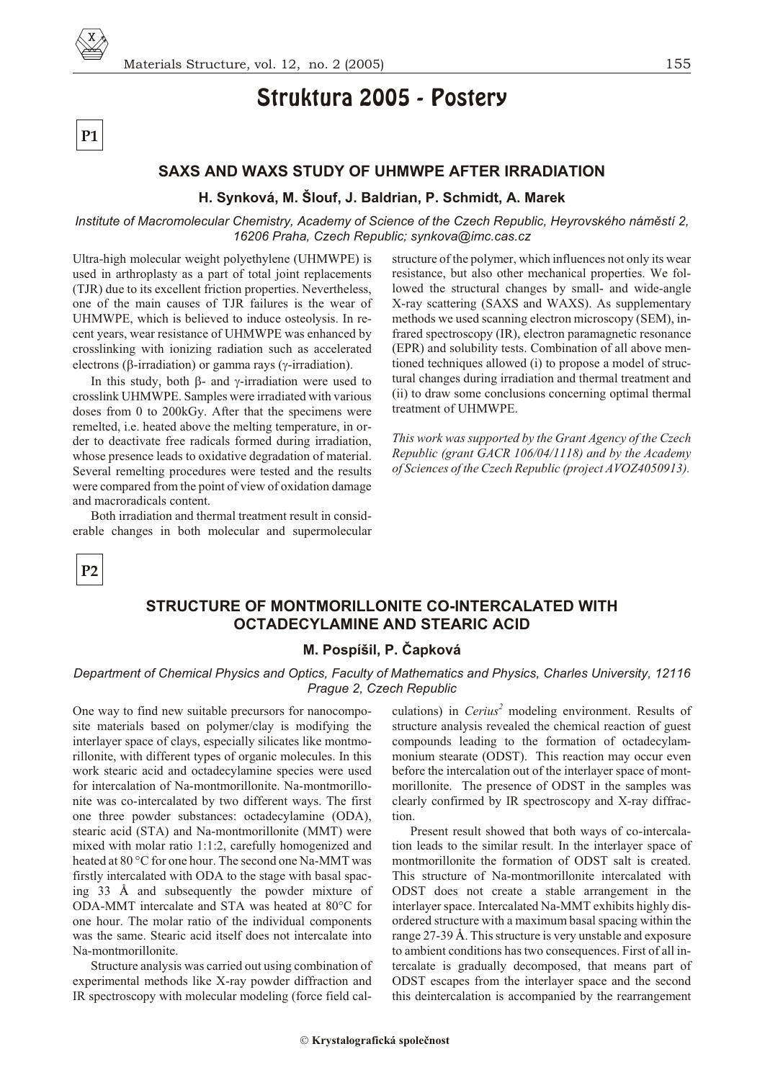

# Struktura 2005 - Postery

### **SAXS AND WAXS STUDY OF UHMWPE AFTER IRRADIATION**

#### **H. Synková, M. Šlouf, J. Baldrian, P. Schmidt, A. Marek**

*Institute of Macromolecular Chemistry, Academy of Science of the Czech Republic, Heyrovského námìstí 2, 16206 Praha, Czech Republic; synkova@imc.cas.cz*

Ultra-high molecular weight polyethylene (UHMWPE) is used in arthroplasty as a part of total joint replacements (TJR) due to its excellent friction properties. Nevertheless, one of the main causes of TJR failures is the wear of UHMWPE, which is believed to induce osteolysis. In recent years, wear resistance of UHMWPE was enhanced by crosslinking with ionizing radiation such as accelerated electrons ( -irradiation) or gamma rays ( -irradiation).

In this study, both - and -irradiation were used to crosslink UHMWPE. Samples were irradiated with various doses from 0 to 200kGy. After that the specimens were remelted, i.e. heated above the melting temperature, in order to deactivate free radicals formed during irradiation, whose presence leads to oxidative degradation of material. Several remelting procedures were tested and the results were compared from the point of view of oxidation damage and macroradicals content.

Both irradiation and thermal treatment result in considerable changes in both molecular and supermolecular structure of the polymer, which influences not only its wear resistance, but also other mechanical properties. We followed the structural changes by small- and wide-angle X-ray scattering (SAXS and WAXS). As supplementary methods we used scanning electron microscopy (SEM), infrared spectroscopy (IR), electron paramagnetic resonance (EPR) and solubility tests. Combination of all above mentioned techniques allowed (i) to propose a model of structural changes during irradiation and thermal treatment and (ii) to draw some conclusions concerning optimal thermal treatment of UHMWPE.

*This work was sup ported by the Grant Agency of the Czech Republic (grant GACR 106/04/1118) and by the Academy of Sciences of the Czech Re pub lic (pro ject AVOZ4050913).*

**P2**

**P1**

### **STRUCTURE OF MONTMORILLONITE CO-INTERCALATED WITH OCTADECYLAMINE AND STEARIC ACID**

### **M. Pospíšil, P. Èapková**

#### *Department of Chemical Physics and Optics, Faculty of Mathematics and Physics, Charles University, 12116 Prague 2, Czech Republic*

One way to find new suitable precursors for nano composite materials based on polymer/clay is modifying the interlayer space of clays, especially silicates like montmorillonite, with different types of organic molecules. In this work stearic acid and octadecylamine species were used for intercalation of Na-montmorillonite. Na-montmorillonite was co-intercalated by two different ways. The first one three powder substances: octadecylamine (ODA), stearic acid (STA) and Na-montmorillonite (MMT) were mixed with molar ratio  $1:1:2$ , carefully homogenized and heated at 80 °C for one hour. The second one Na-MMT was firstly intercalated with ODA to the stage with basal spacing  $33$  Å and subsequently the powder mixture of ODA-MMT intercalate and STA was heated at 80°C for one hour. The molar ratio of the individual components was the same. Stearic acid itself does not intercalate into Na-montmorillonite.

Structure analysis was carried out using combination of experimental methods like X-ray powder diffraction and IR spectroscopy with molecular modeling (force field calculations) in *Cerius*<sup>2</sup> modeling environment. Results of structure analysis revealed the chemical reaction of guest compounds leading to the formation of octadecylammonium stearate (ODST). This reaction may occur even before the intercalation out of the interlayer space of montmorillonite. The presence of ODST in the samples was clearly confirmed by IR spectroscopy and X-ray diffraction.

Present result showed that both ways of co-intercalation leads to the similar result. In the interlayer space of mont morillonite the formation of ODST salt is created. This structure of Na-montmorillonite intercalated with ODST does not create a stable arrangement in the interlayer space. Intercalated Na-MMT exhibits highly disordered structure with a maximum basal spacing within the range 27-39 Å. This structure is very unstable and exposure to ambient conditions has two consequences. First of all intercalate is gradually decomposed, that means part of ODST escapes from the interlayer space and the second this deintercalation is accompanied by the rearrangement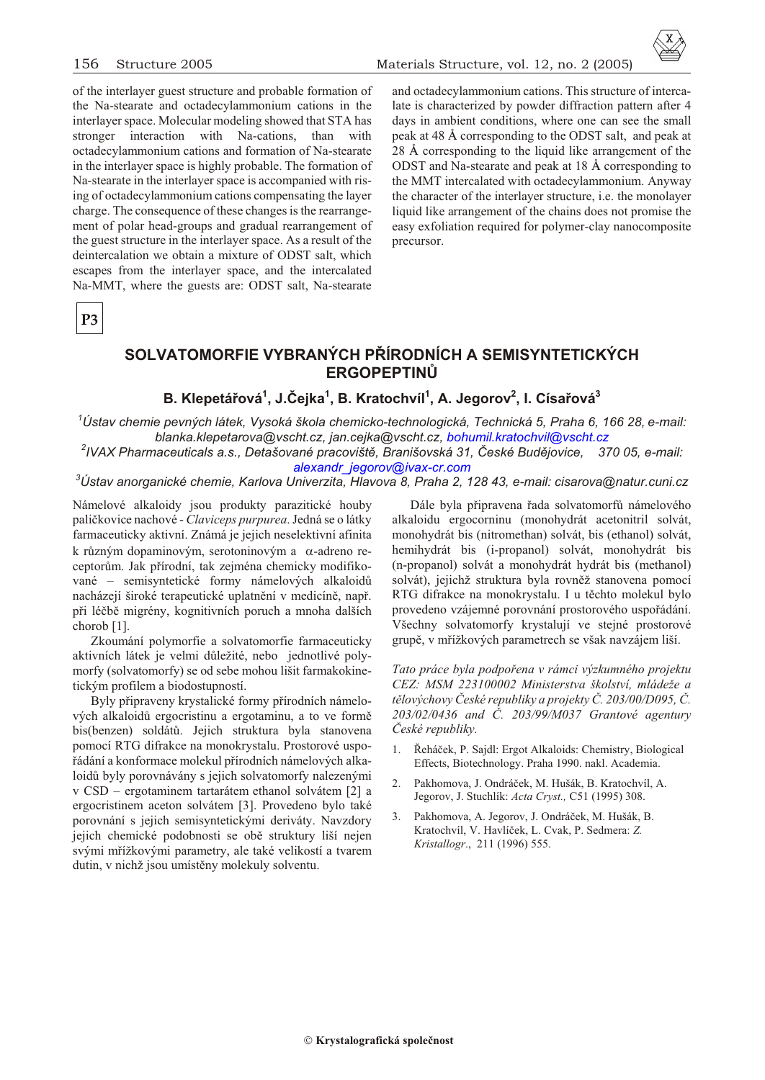of the interlayer guest structure and probable formation of the Na-stearate and octadecylammonium cations in the interlayer space. Molecular modeling showed that STA has stronger interaction with Na-cations, than with octadecylammonium cations and formation of Na-stearate in the interlayer space is highly probable. The formation of Na-stearate in the interlayer space is accompanied with rising of octadecylammonium cations compensating the layer charge. The consequence of these changes is the rearrangement of polar head-groups and gradual rearrangement of the guest structure in the interlayer space. As a result of the deintercalation we obtain a mixture of ODST salt, which escapes from the interlayer space, and the intercalated Na-MMT, where the guests are: ODST salt, Na-stearate

and octadecylammonium cations. This structure of intercalate is characterized by powder diffraction pattern after 4 days in ambient conditions, where one can see the small peak at 48 Å corresponding to the ODST salt, and peak at 28 Å corresponding to the liquid like arrangement of the ODST and Na-stearate and peak at 18 Å corresponding to the MMT intercalated with octadecylammonium. Anyway the character of the interlayer structure, *i.e.* the monolayer liquid like arrangement of the chains does not promise the easy exfoliation required for polymer-clay nanocomposite precursor.

P<sub>3</sub>

# SOLVATOMORFIE VYBRANÝCH PŘÍRODNÍCH A SEMISYNTETICKÝCH **ERGOPEPTINŮ**

## B. Klepetářová<sup>1</sup>, J.Čejka<sup>1</sup>, B. Kratochvíl<sup>1</sup>, A. Jegorov<sup>2</sup>, I. Císařová<sup>3</sup>

<sup>1</sup>Ústav chemie pevných látek, Vysoká škola chemicko-technologická, Technická 5, Praha 6, 166 28, e-mail: blanka.klepetarova@vscht.cz, jan.cejka@vscht.cz, bohumil.kratochvil@vscht.cz

<sup>2</sup>IVAX Pharmaceuticals a.s., Detašované pracoviště, Branišovská 31, České Budějovice, 370 05, e-mail: alexandr jegorov@jvax-cr.com

#### $^3$ Ústav anorganické chemie, Karlova Univerzita, Hlavova 8, Praha 2, 128 43, e-mail: cisarova@natur.cuni.cz

Námelové alkaloidy jsou produkty parazitické houby paličkovice nachové - Claviceps purpurea. Jedná se o látky farmaceuticky aktivní. Známá je jejich neselektivní afinita k různým dopaminovým, serotoninovým a -adreno receptorům. Jak přírodní, tak zejména chemicky modifikované – semisyntetické formy námelových alkaloidů nacházejí široké terapeutické uplatnění v medicíně, např. při léčbě migrény, kognitivních poruch a mnoha dalších chorob [1].

Zkoumání polymorfie a solvatomorfie farmaceuticky aktivních látek je velmi důležité, nebo jednotlivé polymorfy (solvatomorfy) se od sebe mohou lišit farmakokinetickým profilem a biodostupností.

Byly připraveny krystalické formy přírodních námelových alkaloidů ergocristinu a ergotaminu, a to ve formě bis(benzen) soldátů. Jejich struktura byla stanovena pomocí RTG difrakce na monokrystalu. Prostorové uspořádání a konformace molekul přírodních námelových alkaloidů byly porovnávány s jejich solvatomorfy nalezenými v CSD – ergotaminem tartarátem ethanol solvátem [2] a ergocristinem aceton solvátem [3]. Provedeno bylo také porovnání s jejich semisyntetickými deriváty. Navzdory jejich chemické podobnosti se obě struktury liší nejen svými mřížkovými parametry, ale také velikostí a tvarem dutin, v nichž jsou umístěny molekuly solventu.

Dále byla připravena řada solvatomorfů námelového alkaloidu ergocorninu (monohydrát acetonitril solvát, monohydrát bis (nitromethan) solvát, bis (ethanol) solvát, hemihydrát bis (i-propanol) solvát, monohydrát bis (n-propanol) solvát a monohydrát hydrát bis (methanol) solvát), jejichž struktura byla rovněž stanovena pomocí RTG difrakce na monokrystalu. I u těchto molekul bylo provedeno vzájemné porovnání prostorového uspořádání. Všechny solvatomorfy krystalují ve stejné prostorové grupě, v mřížkových parametrech se však navzájem liší.

Tato práce byla podpořena v rámci výzkumného projektu CEZ: MSM 223100002 Ministerstva školství, mládeže a tělovýchovy České republiky a projekty Č. 203/00/D095, Č. 203/02/0436 and Č. 203/99/M037 Grantové agentury České republiky.

- Řeháček, P. Sajdl: Ergot Alkaloids: Chemistry, Biological  $1<sup>1</sup>$ Effects, Biotechnology. Praha 1990. nakl. Academia.
- 2. Pakhomova, J. Ondráček, M. Hušák, B. Kratochvíl, A. Jegorov, J. Stuchlík: Acta Cryst., C51 (1995) 308.
- Pakhomova, A. Jegorov, J. Ondráček, M. Hušák, B.  $\mathcal{E}$ Kratochvíl, V. Havlíček, L. Cvak, P. Sedmera: Z. Kristallogr., 211 (1996) 555.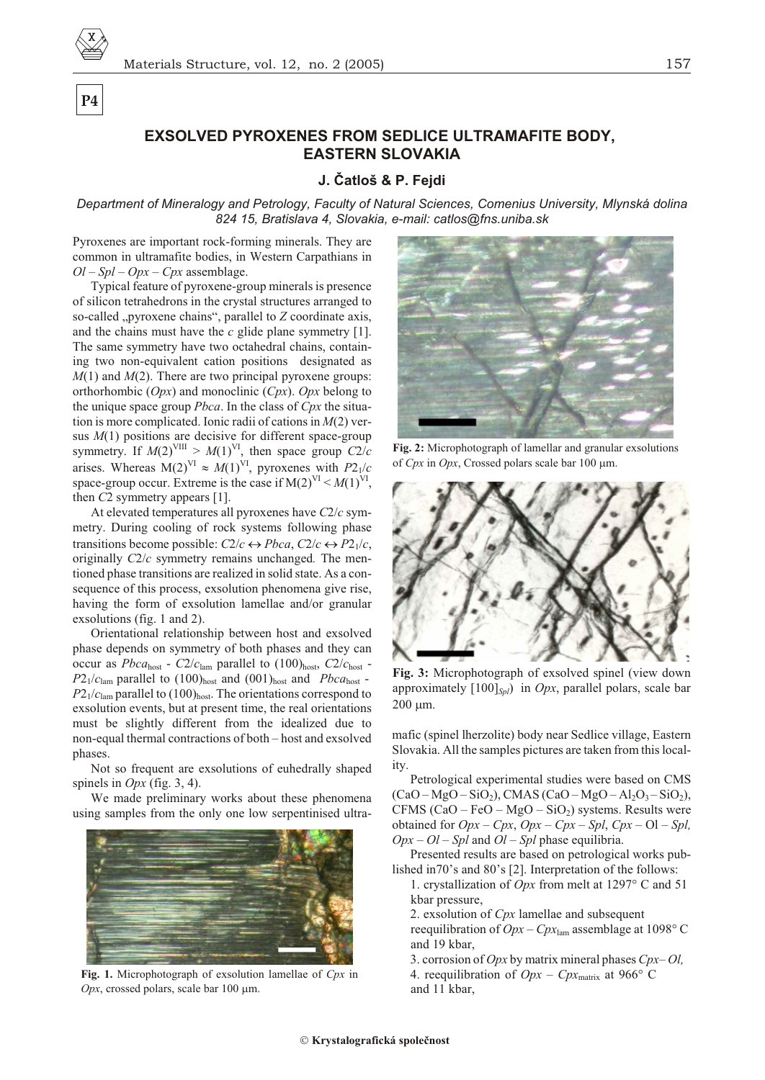P<sub>4</sub>

### **EXSOLVED PYROXENES FROM SEDLICE ULTRAMAFITE BODY. EASTERN SLOVAKIA**

### J. Čatloš & P. Fejdi

Department of Mineralogy and Petrology, Faculty of Natural Sciences, Comenius University, Mlynská dolina 824 15, Bratislava 4, Slovakia, e-mail: catlos@fns.uniba.sk

Pyroxenes are important rock-forming minerals. They are common in ultramafite bodies, in Western Carpathians in  $Ol - Spl - Opx - Cpx$  assemblage.

Typical feature of pyroxene-group minerals is presence of silicon tetrahedrons in the crystal structures arranged to so-called "pyroxene chains", parallel to Z coordinate axis, and the chains must have the  $c$  glide plane symmetry [1]. The same symmetry have two octahedral chains, containing two non-equivalent cation positions designated as  $M(1)$  and  $M(2)$ . There are two principal pyroxene groups: orthorhombic  $(Opx)$  and monoclinic  $(Cpx)$ .  $Opx$  belong to the unique space group *Pbca*. In the class of *Cpx* the situation is more complicated. Ionic radii of cations in  $M(2)$  versus  $M(1)$  positions are decisive for different space-group symmetry. If  $M(2)^{VIII} > M(1)^{VI}$ , then space group  $C2/c$ arises. Whereas M(2)<sup>VI</sup>  $M(1)$ <sup>VI</sup>, pyroxenes with  $P2_1/c$ space-group occur. Extreme is the case if  $M(2)^{VI} < M(1)^{VI}$ , then  $C2$  symmetry appears [1].

At elevated temperatures all pyroxenes have  $C2/c$  symmetry. During cooling of rock systems following phase transitions become possible:  $C2/c$  $Pbca, C2/c$  $P2_1/c$ , originally  $C2/c$  symmetry remains unchanged. The mentioned phase transitions are realized in solid state. As a consequence of this process, exsolution phenomena give rise, having the form of exsolution lamellae and/or granular exsolutions (fig. 1 and 2).

Orientational relationship between host and exsolved phase depends on symmetry of both phases and they can occur as  $Pbca_{\text{host}}$  -  $C2/c_{\text{lam}}$  parallel to  $(100)_{\text{host}}$ ,  $C2/c_{\text{host}}$  - $P2_1/c_{\text{lam}}$  parallel to (100)<sub>host</sub> and (001)<sub>host</sub> and Pbca<sub>host</sub> - $P2_1/c_{\text{lam}}$  parallel to (100)<sub>host</sub>. The orientations correspond to exsolution events, but at present time, the real orientations must be slightly different from the idealized due to non-equal thermal contractions of both - host and exsolved phases.

Not so frequent are exsolutions of euhedrally shaped spinels in  $Opx$  (fig. 3, 4).

We made preliminary works about these phenomena using samples from the only one low serpentinised ultra-



Fig. 1. Microphotograph of exsolution lamellae of  $Cpx$  in Opx, crossed polars, scale bar 100 m.



Fig. 2: Microphotograph of lamellar and granular exsolutions of  $Cpx$  in  $Opx$ , Crossed polars scale bar 100 m.



Fig. 3: Microphotograph of exsolved spinel (view down approximately  $[100]_{Spl}$  in Opx, parallel polars, scale bar 200 m.

mafic (spinel lherzolite) body near Sedlice village, Eastern Slovakia. All the samples pictures are taken from this locality.

Petrological experimental studies were based on CMS  $(CaO-MgO-SiO<sub>2</sub>)$ , CMAS  $(CaO-MgO-Al_2O_3-SiO_2)$ , CFMS  $(CaO - FeO - MgO - SiO<sub>2</sub>)$  systems. Results were obtained for  $Opx - Cpx$ ,  $Opx - Cpx - Spl$ ,  $Cpx - Ol -Spl$ ,  $Opx - Ol - Spl$  and  $Ol - Spl$  phase equilibria.

Presented results are based on petrological works published in 70's and 80's [2]. Interpretation of the follows:

1. crystallization of *Opx* from melt at 1297 $\degree$  C and 51 kbar pressure,

2. exsolution of Cpx lamellae and subsequent

reequilibration of  $Opx - Cpx_{lam}$  assemblage at 1098° C and 19 kbar.

3. corrosion of Opx by matrix mineral phases  $Cpx-Ol$ , 4. reequilibration of  $Opx - Cpx_{\text{matrix}}$  at 966° C and 11 kbar,